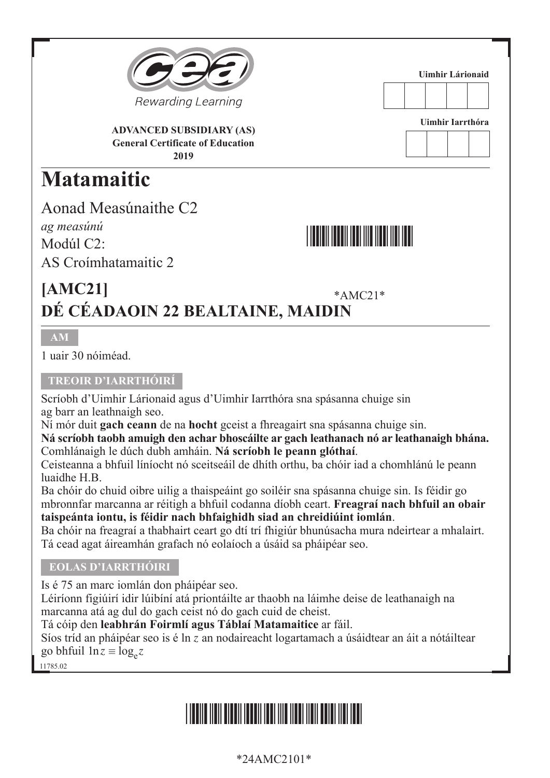

**ADVANCED SUBSIDIARY (AS) General Certificate of Education 2019**

## **Matamaitic**

Aonad Measúnaithe C2 *ag measúnú* Modúl C<sub>2</sub>· AS Croímhatamaitic 2



**Uimhir Lárionaid**

**Uimhir Iarrthóra**

\*AMC21\* **[AMC21] DÉ CÉADAOIN 22 BEALTAINE, MAIDIN** 

#### **AM**

1 uair 30 nóiméad.

#### **TREOIR D'IARRTHÓIRÍ**

Scríobh d'Uimhir Lárionaid agus d'Uimhir Iarrthóra sna spásanna chuige sin ag barr an leathnaigh seo.

Ní mór duit **gach ceann** de na **hocht** gceist a fhreagairt sna spásanna chuige sin.

**Ná scríobh taobh amuigh den achar bhoscáilte ar gach leathanach nó ar leathanaigh bhána.**  Comhlánaigh le dúch dubh amháin. **Ná scríobh le peann glóthaí**.

Ceisteanna a bhfuil líníocht nó sceitseáil de dhíth orthu, ba chóir iad a chomhlánú le peann luaidhe H.B.

Ba chóir do chuid oibre uilig a thaispeáint go soiléir sna spásanna chuige sin. Is féidir go mbronnfar marcanna ar réitigh a bhfuil codanna díobh ceart. **Freagraí nach bhfuil an obair taispeánta iontu, is féidir nach bhfaighidh siad an chreidiúint iomlán**.

Ba chóir na freagraí a thabhairt ceart go dtí trí fhigiúr bhunúsacha mura ndeirtear a mhalairt. Tá cead agat áireamhán grafach nó eolaíoch a úsáid sa pháipéar seo.

#### **EOLAS D'IARRTHÓIRI**

Is é 75 an marc iomlán don pháipéar seo.

Léiríonn figiúirí idir lúibíní atá priontáilte ar thaobh na láimhe deise de leathanaigh na marcanna atá ag dul do gach ceist nó do gach cuid de cheist.

Tá cóip den **leabhrán Foirmlí agus Táblaí Matamaitice** ar fáil.

Síos tríd an pháipéar seo is é ln *z* an nodaireacht logartamach a úsáidtear an áit a nótáiltear go bhfuil  $\ln z \equiv \log_z z$ 

11785.02

## \*24AMC2101\*

#### \*24AMC2101\*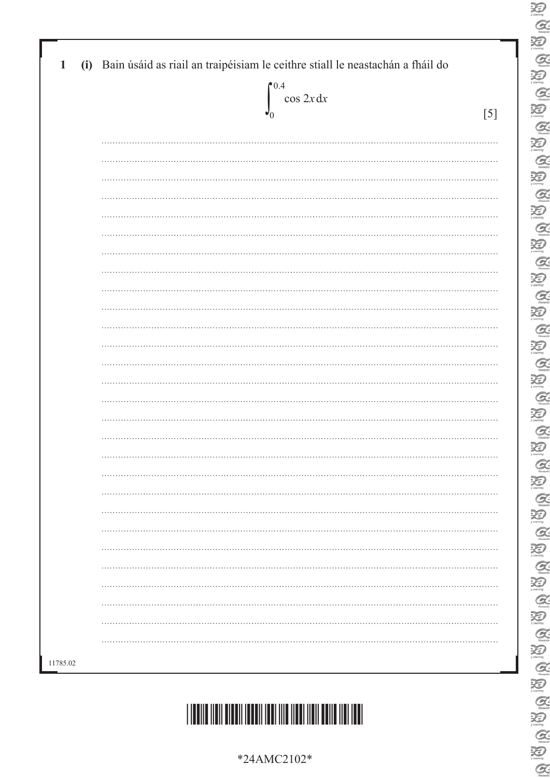| 0.4<br>$\cos 2x dx$ |     |
|---------------------|-----|
|                     | [5] |
|                     |     |
|                     |     |
|                     |     |
|                     |     |
|                     |     |
|                     |     |
|                     |     |
|                     |     |
|                     |     |
|                     |     |
|                     |     |
|                     |     |
|                     |     |
|                     |     |
|                     |     |
|                     |     |
|                     |     |
|                     |     |
|                     |     |
|                     |     |
|                     |     |
|                     |     |
|                     |     |
|                     |     |
|                     |     |
|                     |     |
|                     |     |
|                     |     |
|                     |     |
|                     |     |
|                     |     |

 $\sum_{\text{learning}}$ 



#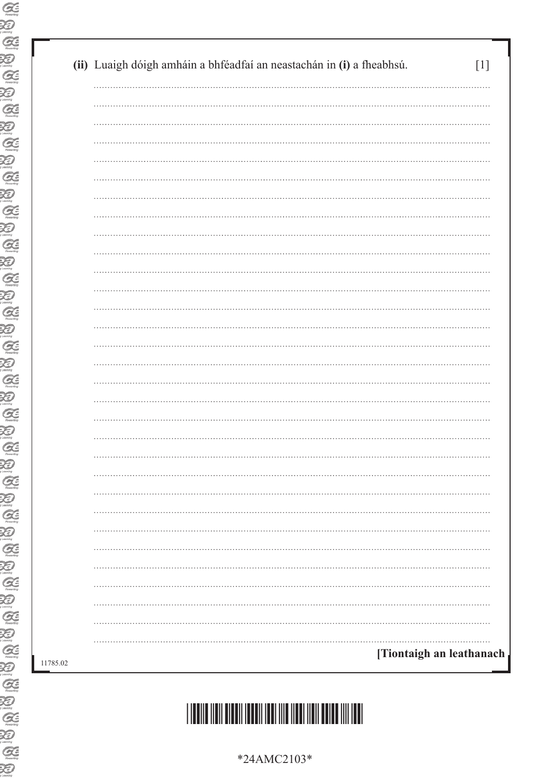| (ii) Luaigh dóigh amháin a bhféadfaí an neastachán in (i) a fheabhsú. |
|-----------------------------------------------------------------------|
|                                                                       |
|                                                                       |
|                                                                       |
|                                                                       |
|                                                                       |
|                                                                       |
|                                                                       |
|                                                                       |
|                                                                       |
|                                                                       |
|                                                                       |
|                                                                       |
|                                                                       |
|                                                                       |
|                                                                       |
|                                                                       |
|                                                                       |
|                                                                       |
|                                                                       |
|                                                                       |
|                                                                       |
|                                                                       |
|                                                                       |
|                                                                       |
|                                                                       |
|                                                                       |
|                                                                       |
|                                                                       |
|                                                                       |
|                                                                       |
|                                                                       |
| [Tiontaigh an leathanach                                              |

# \*24AMC2103\*

\*24AMC2103\*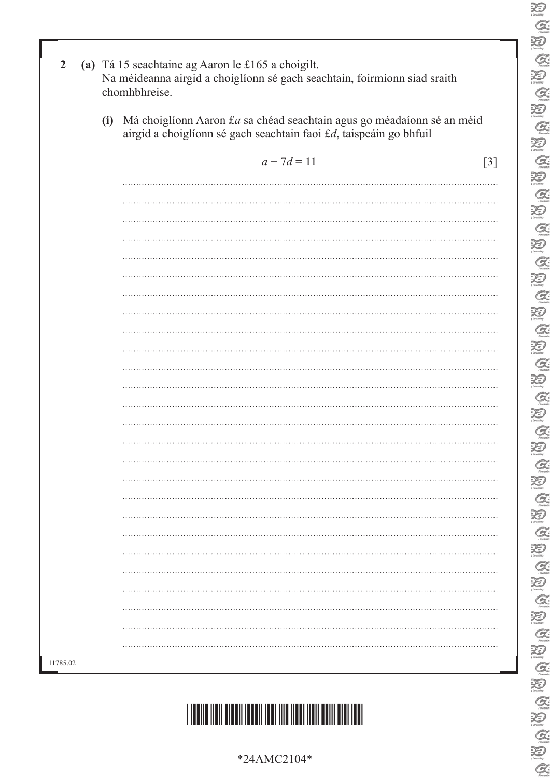| C                             |
|-------------------------------|
| X<br>V                        |
| $\mathcal C$                  |
|                               |
| Z<br>J                        |
| G                             |
| X<br>J                        |
| G                             |
| D                             |
|                               |
| G                             |
| X<br>$\partial$               |
| $\mathcal C$                  |
| <b>Ri</b><br>$\partial$       |
| $\epsilon$                    |
|                               |
| X<br>Þ                        |
| $\mathcal{Q}$                 |
| X<br>$\overline{\ell}$        |
| $\mathcal{Q}$                 |
| Đ                             |
|                               |
| $\mathcal{Q}$                 |
| Đ                             |
| Ģ                             |
| Œ<br>$\overline{\phantom{a}}$ |
| $\overline{C}$                |
|                               |
| Ð                             |
| Q                             |
| X                             |
| C                             |
| ₹                             |
|                               |
| C                             |
| $\mathfrak{p}$                |
| l                             |
| ₹                             |
| C                             |
|                               |
| $\mathbb{R}$                  |
| C                             |
| ₹                             |
| C                             |
| X                             |
|                               |
| C                             |
| X<br>$\overline{\ell}$        |
|                               |
| ₹                             |
|                               |
|                               |
| $\chi$                        |
| l                             |
|                               |

 $\sum_{i \in \text{annig}}$ 

| 2        | (a) Tá 15 seachtaine ag Aaron le £165 a choigilt.<br>Na méideanna airgid a choiglíonn sé gach seachtain, foirmíonn siad sraith<br>chomhbhreise. |                                                                                                                                              |       |  |  |  |
|----------|-------------------------------------------------------------------------------------------------------------------------------------------------|----------------------------------------------------------------------------------------------------------------------------------------------|-------|--|--|--|
|          | (i)                                                                                                                                             | Má choiglíonn Aaron £a sa chéad seachtain agus go méadaíonn sé an méid<br>airgid a choiglíonn sé gach seachtain faoi £d, taispeáin go bhfuil |       |  |  |  |
|          |                                                                                                                                                 | $a + 7d = 11$                                                                                                                                | $[3]$ |  |  |  |
|          |                                                                                                                                                 |                                                                                                                                              |       |  |  |  |
|          |                                                                                                                                                 |                                                                                                                                              |       |  |  |  |
|          |                                                                                                                                                 |                                                                                                                                              |       |  |  |  |
|          |                                                                                                                                                 |                                                                                                                                              |       |  |  |  |
|          |                                                                                                                                                 |                                                                                                                                              |       |  |  |  |
|          |                                                                                                                                                 |                                                                                                                                              |       |  |  |  |
|          |                                                                                                                                                 |                                                                                                                                              |       |  |  |  |
|          |                                                                                                                                                 |                                                                                                                                              |       |  |  |  |
|          |                                                                                                                                                 |                                                                                                                                              |       |  |  |  |
|          |                                                                                                                                                 |                                                                                                                                              |       |  |  |  |
|          |                                                                                                                                                 |                                                                                                                                              |       |  |  |  |
|          |                                                                                                                                                 |                                                                                                                                              |       |  |  |  |
|          |                                                                                                                                                 |                                                                                                                                              |       |  |  |  |
|          |                                                                                                                                                 |                                                                                                                                              |       |  |  |  |
|          |                                                                                                                                                 |                                                                                                                                              |       |  |  |  |
|          |                                                                                                                                                 |                                                                                                                                              |       |  |  |  |
|          |                                                                                                                                                 |                                                                                                                                              |       |  |  |  |
|          |                                                                                                                                                 |                                                                                                                                              |       |  |  |  |
|          |                                                                                                                                                 |                                                                                                                                              |       |  |  |  |
|          |                                                                                                                                                 |                                                                                                                                              |       |  |  |  |
|          |                                                                                                                                                 |                                                                                                                                              |       |  |  |  |
|          |                                                                                                                                                 |                                                                                                                                              |       |  |  |  |
|          |                                                                                                                                                 | .                                                                                                                                            |       |  |  |  |
|          |                                                                                                                                                 |                                                                                                                                              |       |  |  |  |
|          |                                                                                                                                                 |                                                                                                                                              |       |  |  |  |
|          |                                                                                                                                                 |                                                                                                                                              |       |  |  |  |
| 11785.02 |                                                                                                                                                 |                                                                                                                                              |       |  |  |  |
|          |                                                                                                                                                 |                                                                                                                                              |       |  |  |  |

# \*24AMC2104\*

\*24AMC2104\*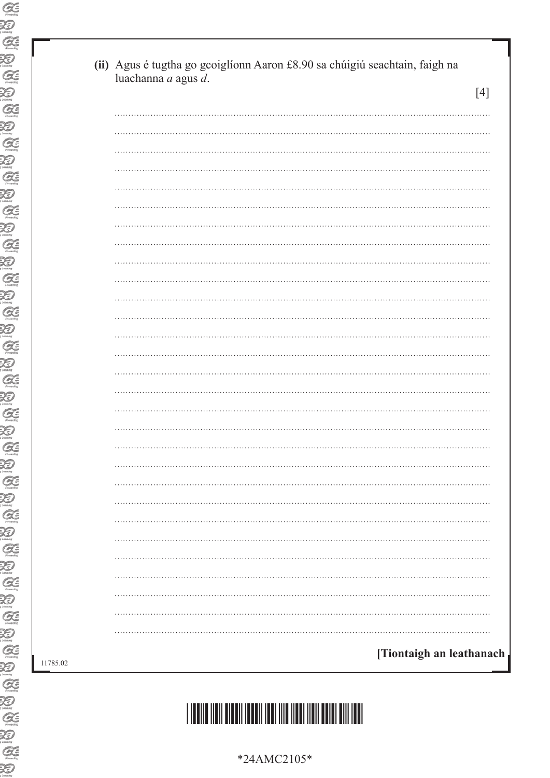| luachanna a agus d.<br>$[4]$ |
|------------------------------|
|                              |
|                              |
|                              |
|                              |
|                              |
|                              |
|                              |
|                              |
|                              |
|                              |
|                              |
|                              |
|                              |
|                              |
|                              |
|                              |
|                              |
|                              |
|                              |
|                              |
|                              |
|                              |
|                              |
|                              |
|                              |
|                              |
|                              |
|                              |
|                              |
|                              |

\*24AMC2105\*

11785.02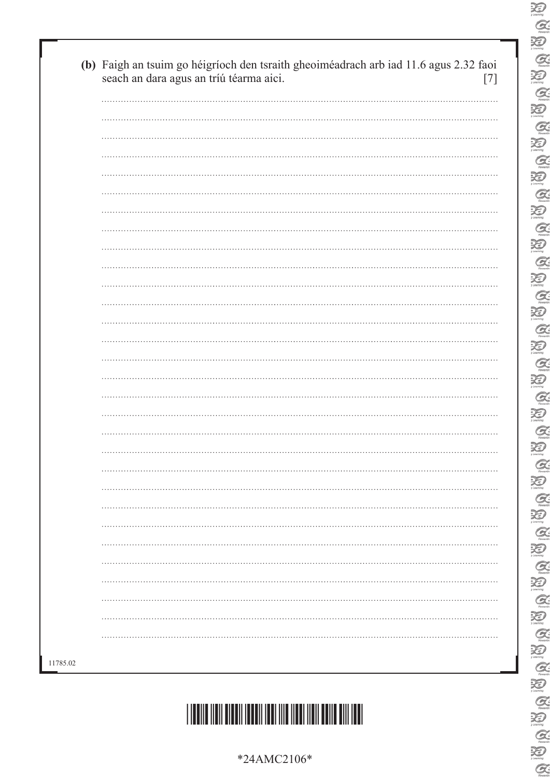| *24AMC2106* |
|-------------|
|-------------|



| seach an dara agus an tríú téarma aici. |
|-----------------------------------------|
|                                         |
|                                         |
|                                         |
|                                         |
|                                         |
|                                         |
|                                         |
|                                         |
|                                         |
|                                         |
|                                         |
|                                         |
| .                                       |
|                                         |
|                                         |
|                                         |
|                                         |
|                                         |
|                                         |
|                                         |
|                                         |
|                                         |
|                                         |
|                                         |
|                                         |
|                                         |
|                                         |
|                                         |
|                                         |
|                                         |

 $\sum_{\text{learning}}$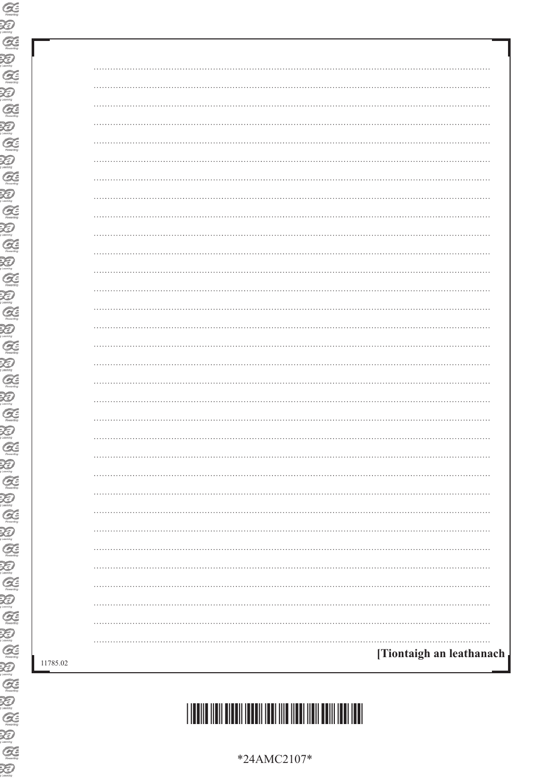| .<br>$\cdots$            |
|--------------------------|
| $\ddotsc$                |
|                          |
| $\cdots$<br>. <b>.</b>   |
| $\cdots$                 |
|                          |
| . <b>.</b><br>$\cdots$   |
| $\cdots$                 |
|                          |
| .                        |
| $\cdots$                 |
|                          |
| .                        |
| $\cdots$                 |
|                          |
|                          |
|                          |
|                          |
|                          |
|                          |
|                          |
|                          |
|                          |
| .                        |
|                          |
|                          |
|                          |
|                          |
|                          |
|                          |
| [Tiontaigh an leathanach |
|                          |
|                          |



\*24AMC2107\*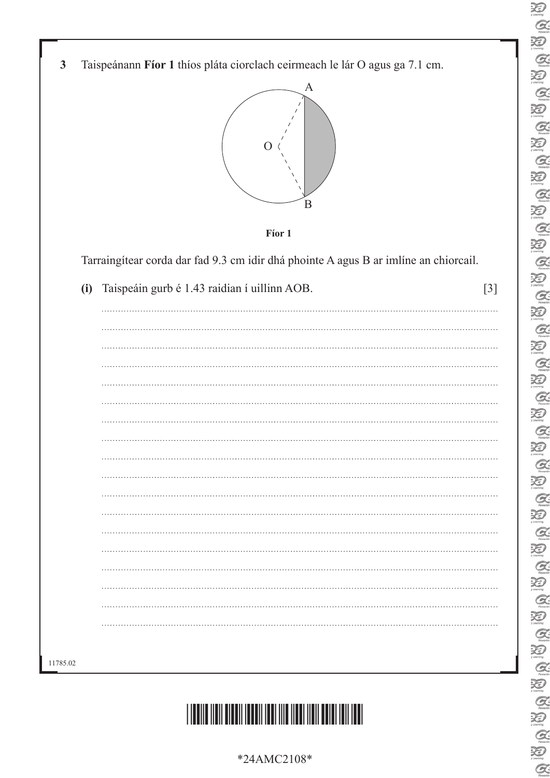- $\sum_{n \text{ terms}}$  $\alpha$  $\sum_{\text{learning}}$  $\alpha$ 泡  $\alpha$ 泡  $\alpha$  $\sum_{\text{learning}}$  $Q$ 泡  $\alpha$ 泡  $Q$  $\sum_{y \text{ learning}}$  $\mathcal{Q}$  $\sum_{\text{learning}}$  $\alpha$  $\sum_{\text{learning}}$  $\alpha$ 泪  $\alpha$  $\sum_{\text{learning}}$  $\alpha$  $\sum_{\text{decay}}$  $Q$ 泪  $\alpha$ XD  $Q$  $\sum_{\text{learning}}$  $Q$ 万  $\alpha$ 泪  $Q$  $\sum_{\text{learning}}$  $\mathcal{Q}$  $\sum_{n=1}^{\infty}$ E<br>E  $\mathcal{Q}$  $\sum_{n \text{learning}}$  $\mathcal{Q}$ 万  $Q$
- **3** Taispeánann **Fíor 1** thíos pláta ciorclach ceirmeach le lár O agus ga 7.1 cm.





Tarraingítear corda dar fad 9.3 cm idir dhá phointe A agus B ar imlíne an chiorcail.

| .        |
|----------|
|          |
|          |
|          |
| .        |
|          |
|          |
|          |
|          |
| $\cdots$ |
|          |
|          |
|          |
|          |
| $\cdots$ |
| .        |
|          |



\*24AMC2108\*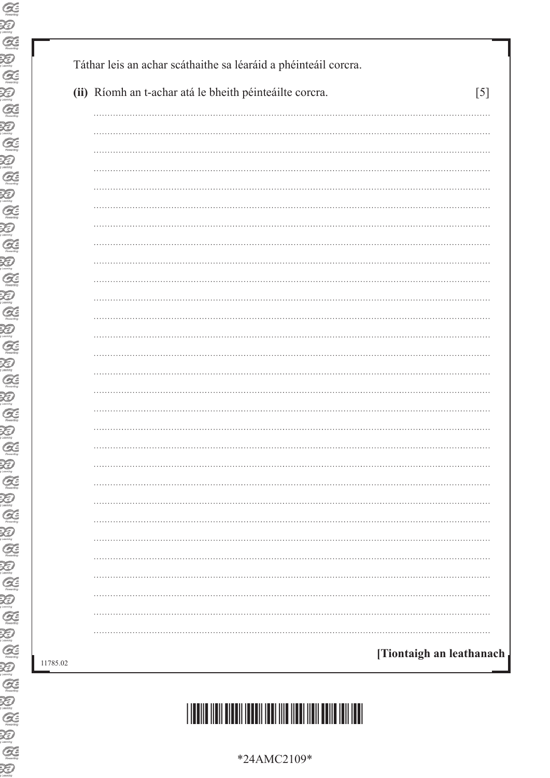| (ii) Ríomh an t-achar atá le bheith péinteáilte corcra.<br>[5] |
|----------------------------------------------------------------|
|                                                                |
|                                                                |
|                                                                |
|                                                                |
|                                                                |
|                                                                |
|                                                                |
|                                                                |
|                                                                |
|                                                                |
|                                                                |
|                                                                |
|                                                                |
|                                                                |
|                                                                |
|                                                                |
|                                                                |
|                                                                |
|                                                                |
|                                                                |
|                                                                |
|                                                                |
|                                                                |
|                                                                |
|                                                                |
|                                                                |
|                                                                |
|                                                                |
|                                                                |

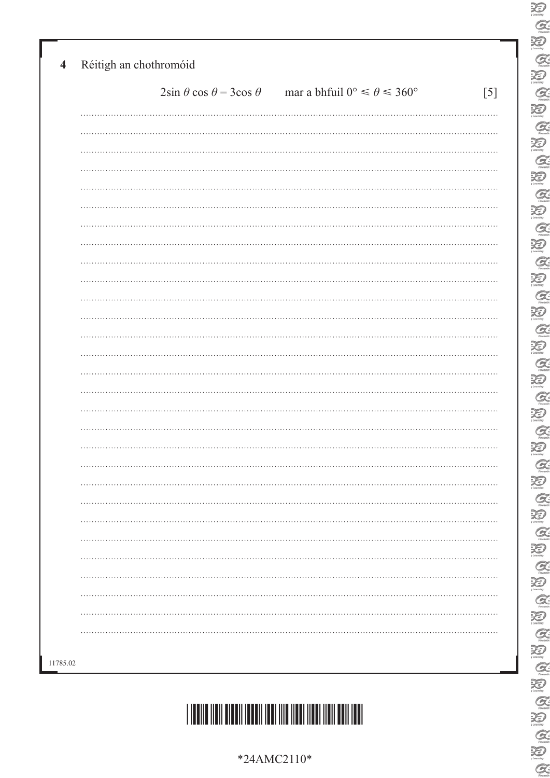| $2\sin\theta\cos\theta = 3\cos\theta$ | mar a bhfuil $0^{\circ} \le \theta \le 360^{\circ}$ | [5] |
|---------------------------------------|-----------------------------------------------------|-----|
|                                       |                                                     |     |
|                                       |                                                     |     |
|                                       |                                                     |     |
|                                       |                                                     |     |
|                                       |                                                     |     |
|                                       |                                                     |     |
|                                       |                                                     |     |
|                                       |                                                     |     |
|                                       |                                                     |     |
|                                       |                                                     |     |
|                                       |                                                     |     |
|                                       |                                                     |     |
|                                       |                                                     |     |
|                                       |                                                     |     |
|                                       |                                                     |     |
|                                       |                                                     |     |
|                                       |                                                     |     |
|                                       |                                                     |     |
|                                       |                                                     |     |
|                                       |                                                     |     |
|                                       |                                                     |     |
|                                       |                                                     |     |
|                                       |                                                     |     |
|                                       |                                                     |     |
|                                       |                                                     |     |
|                                       |                                                     |     |
|                                       |                                                     |     |
|                                       |                                                     |     |
|                                       |                                                     |     |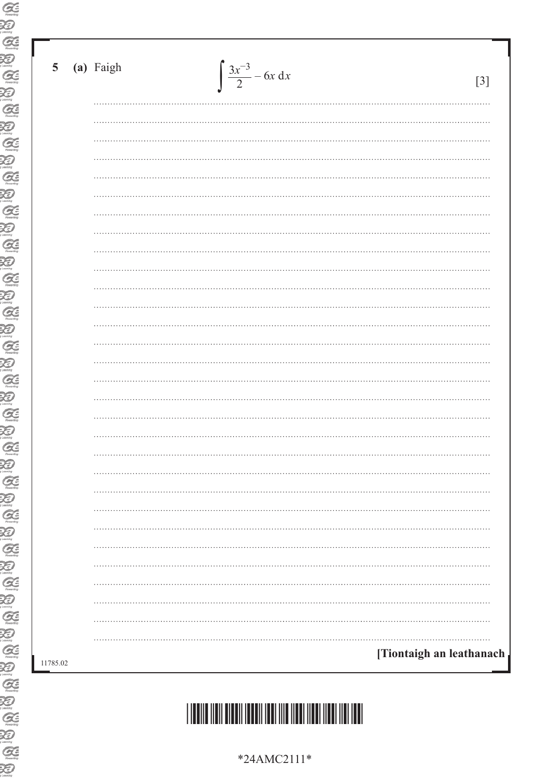| Ð                                       |          |
|-----------------------------------------|----------|
| G                                       |          |
| X                                       |          |
| $\mathcal{C}\hspace{-0.5ex}\mathcal{E}$ | 5        |
| $\bigotimes$                            |          |
| G <sub>function</sub>                   |          |
| <b>KI</b>                               |          |
|                                         |          |
| XI)<br>Learning                         |          |
| $\mathcal{G}\varepsilon$                |          |
| $\sum_{\text{Learning}}$                |          |
| G                                       |          |
| $\sum_{\text{Gamma}}$                   |          |
| $\mathcal{G}$                           |          |
| Q                                       |          |
| $\mathcal{G}\in$                        |          |
| $\bigotimes$                            |          |
| G                                       |          |
| $\bigotimes_{\text{comm}}$              |          |
| G                                       |          |
| XI)                                     |          |
| $G\in$                                  |          |
| O                                       |          |
| G                                       |          |
| Ð                                       |          |
| ZE                                      |          |
|                                         |          |
| ØE                                      |          |
|                                         |          |
| Œ                                       |          |
|                                         |          |
| Ξ                                       |          |
|                                         |          |
| 9                                       |          |
|                                         |          |
| 9                                       |          |
|                                         |          |
| 9                                       |          |
|                                         | 11785.02 |
| Œ                                       |          |
|                                         |          |
| G                                       |          |
|                                         |          |
| <b>A=</b>                               |          |
|                                         |          |

(a) Faigh

| *24AMC2111* |                          |
|-------------|--------------------------|
|             | [Tiontaigh an leathanach |
|             |                          |
|             |                          |
|             |                          |
|             |                          |
|             |                          |
|             |                          |
|             |                          |
|             |                          |
|             |                          |
|             |                          |
|             |                          |
|             |                          |
|             |                          |

 $\int \frac{3x^{-3}}{2} - 6x \, dx$ 

 $\lceil 3 \rceil$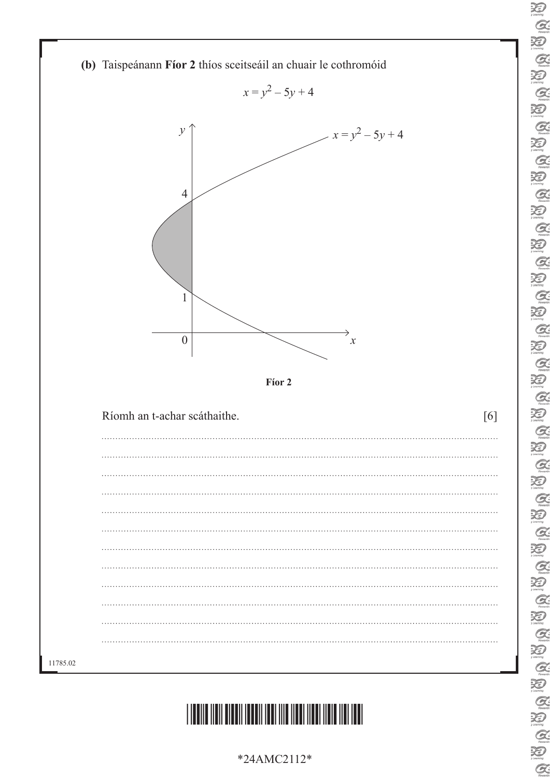

<u>\*24AMC2112\*24AMC2112\*24AMC2112\*24AMC2112\*24AMC2112\*24AMC2112\*24AMC2112\*24AMC211</u>

\*24AMC2112\*

 $\sum_{\mu}$  $Q$  $\sum_{\text{learning}}$  $\alpha$ 泡  $\alpha$ 泡  $\alpha$ 迫  $Q$ 泡  $\alpha$ 泡  $\alpha$ 泡  $Q$ 沙  $Q$  $\sum_{\text{learning}}$  $\alpha$ 泡  $\mathcal{Q}$  $\sum_{\text{learning}}$  $\alpha$  $\sum_{j \text{ boundary}}$  $\alpha$  $\sum_{\text{learning}}$ BADA BADA  $\frac{1}{2}$  $\frac{a}{2}$ B Q B B  $\mathcal{Q}$ 泪  $\mathcal{Q}$ Ð

 $\alpha$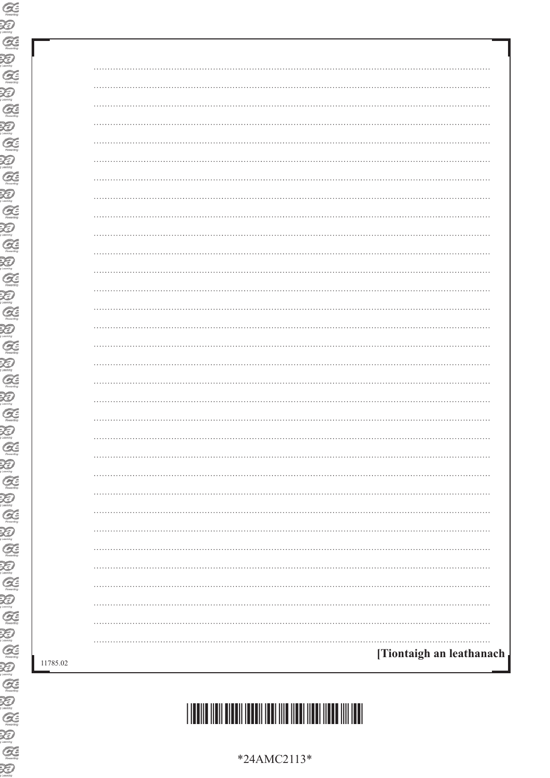| .                        |
|--------------------------|
|                          |
|                          |
| . <b>.</b>               |
|                          |
|                          |
| .                        |
|                          |
|                          |
| .                        |
|                          |
|                          |
| .                        |
|                          |
|                          |
| .                        |
|                          |
|                          |
| .                        |
|                          |
|                          |
|                          |
|                          |
|                          |
|                          |
|                          |
|                          |
|                          |
|                          |
|                          |
| [Tiontaigh an leathanach |
|                          |



\*24AMC2113\*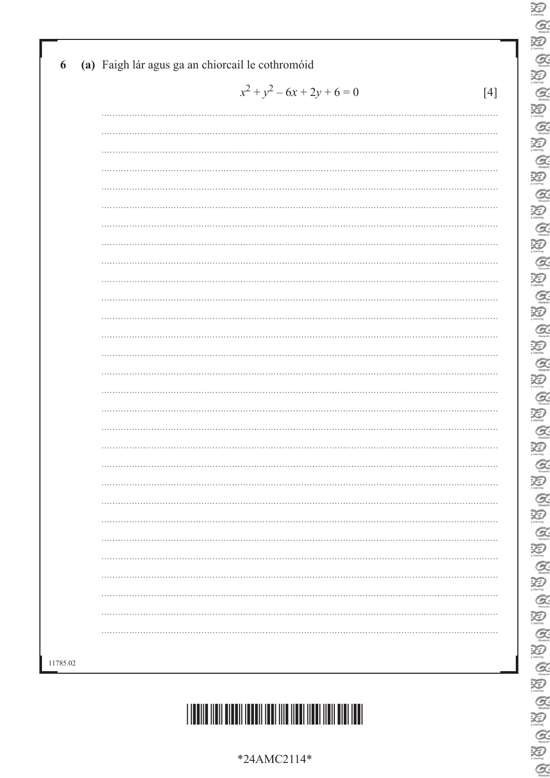|   | $x^2 + y^2 - 6x + 2y + 6 = 0$ |  |
|---|-------------------------------|--|
|   |                               |  |
|   |                               |  |
|   |                               |  |
|   |                               |  |
|   |                               |  |
|   |                               |  |
|   |                               |  |
|   |                               |  |
|   |                               |  |
|   |                               |  |
|   |                               |  |
|   |                               |  |
|   |                               |  |
|   |                               |  |
|   |                               |  |
|   |                               |  |
|   |                               |  |
|   |                               |  |
|   |                               |  |
|   |                               |  |
| . |                               |  |
|   |                               |  |
|   |                               |  |
|   |                               |  |
|   |                               |  |
|   |                               |  |
|   |                               |  |
|   |                               |  |
|   |                               |  |
|   |                               |  |
|   |                               |  |

#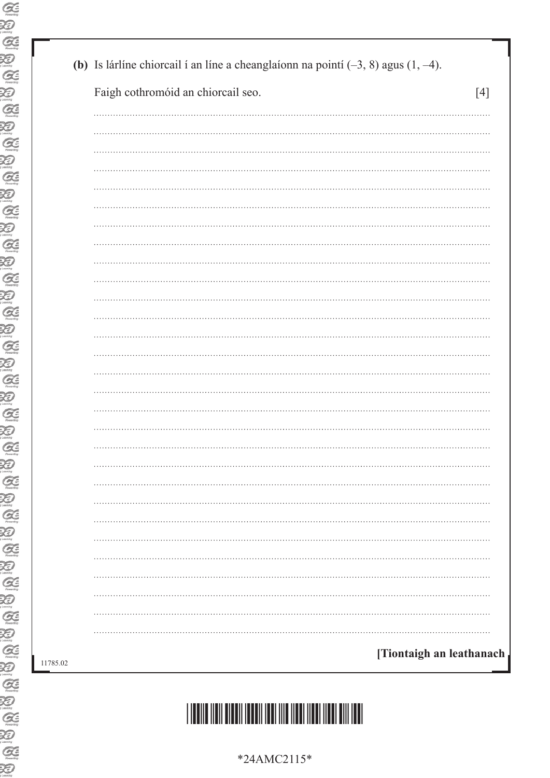| Faigh cothromóid an chiorcail seo. | $[4]$ |
|------------------------------------|-------|
|                                    |       |
|                                    |       |
|                                    |       |
|                                    |       |
|                                    |       |
|                                    |       |
|                                    |       |
|                                    |       |
|                                    |       |
|                                    |       |
|                                    |       |
|                                    |       |
|                                    |       |
|                                    |       |
|                                    |       |
|                                    |       |
|                                    |       |
|                                    |       |
|                                    |       |
|                                    |       |
|                                    |       |
|                                    |       |
|                                    |       |
|                                    |       |
|                                    |       |
|                                    |       |
|                                    |       |
|                                    |       |
|                                    |       |

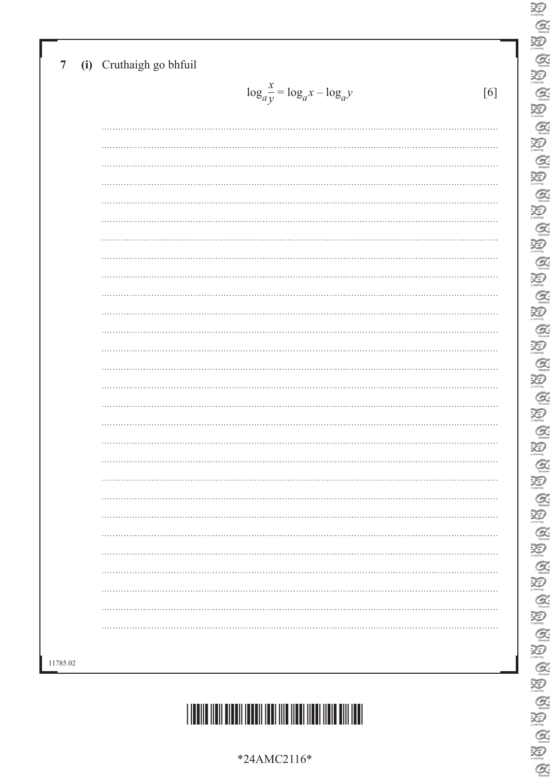| $\log_a \frac{x}{y} = \log_a x - \log_a y$ |
|--------------------------------------------|
|                                            |
|                                            |
|                                            |
|                                            |
|                                            |
|                                            |
|                                            |
|                                            |
|                                            |
|                                            |
|                                            |
|                                            |
|                                            |
|                                            |
|                                            |
|                                            |
|                                            |
|                                            |
|                                            |
|                                            |
|                                            |
|                                            |
|                                            |
|                                            |
|                                            |
|                                            |
|                                            |
|                                            |
|                                            |
|                                            |

\*24AMC2116\*

\*24AMC2116\*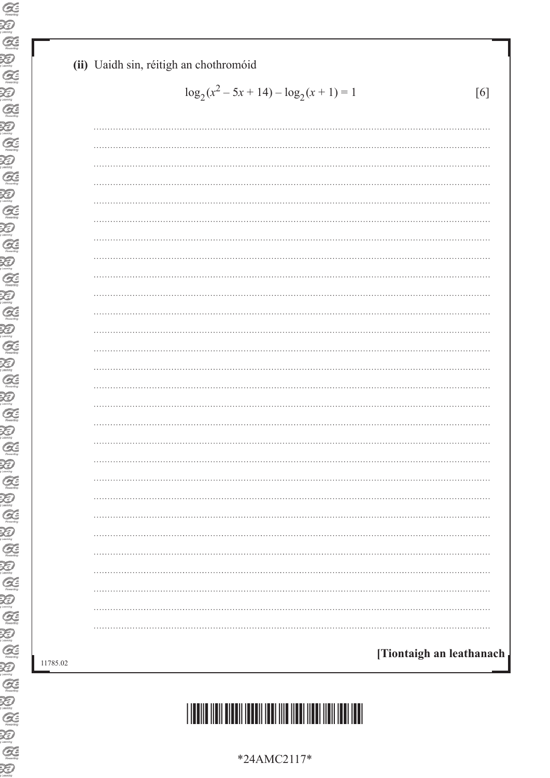#### **(ii)** Uaidh sin, réitigh an chothromóid

$$
\log_2(x^2 - 5x + 14) - \log_2(x + 1) = 1
$$
 [6]

| $\cdots$                 |
|--------------------------|
|                          |
| .                        |
|                          |
|                          |
| .                        |
|                          |
|                          |
| .                        |
|                          |
|                          |
| .                        |
| $\cdots$                 |
|                          |
|                          |
|                          |
|                          |
|                          |
| .                        |
|                          |
|                          |
|                          |
|                          |
|                          |
|                          |
|                          |
|                          |
| [Tiontaigh an leathanach |



\*24AMC2117\*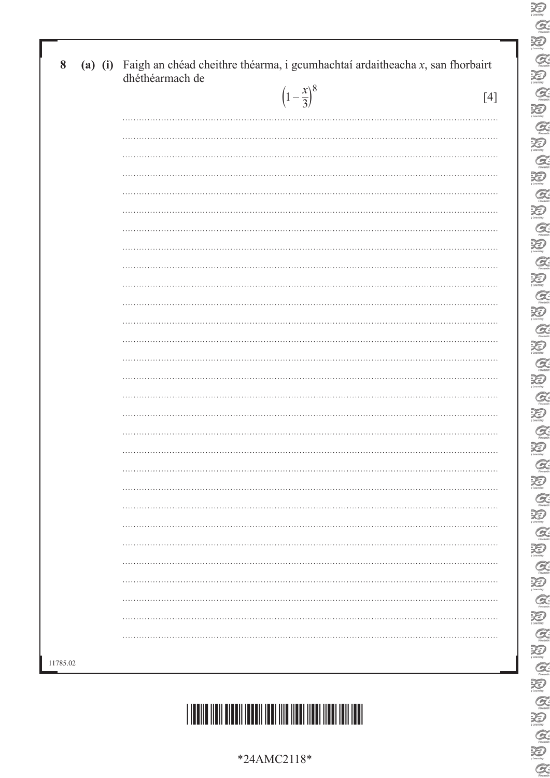|          | dhéthéarmach de<br>$\left(1-\frac{x}{3}\right)^8$ | $[4]$ |
|----------|---------------------------------------------------|-------|
|          |                                                   |       |
|          |                                                   |       |
|          |                                                   |       |
|          |                                                   |       |
|          |                                                   |       |
|          |                                                   |       |
|          |                                                   |       |
|          |                                                   |       |
|          |                                                   |       |
|          |                                                   |       |
|          |                                                   |       |
|          |                                                   |       |
|          |                                                   |       |
|          |                                                   |       |
|          |                                                   |       |
|          |                                                   |       |
|          |                                                   |       |
|          |                                                   |       |
|          |                                                   |       |
|          |                                                   |       |
|          |                                                   |       |
|          |                                                   |       |
| 11785.02 |                                                   |       |



\*24AMC2118\*

 $\alpha$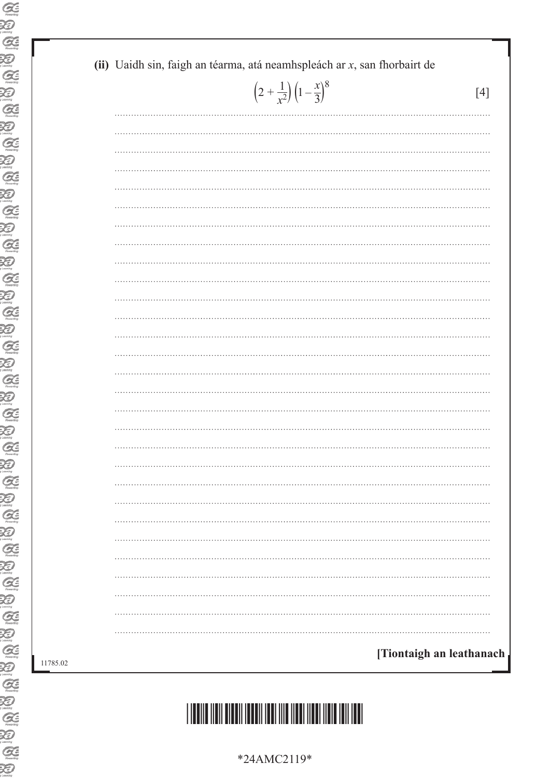| $\left(2+\frac{1}{x^2}\right)\left(1-\frac{x}{3}\right)^8$ | $[4]$                    |
|------------------------------------------------------------|--------------------------|
|                                                            |                          |
|                                                            |                          |
|                                                            |                          |
|                                                            |                          |
|                                                            |                          |
|                                                            |                          |
|                                                            |                          |
|                                                            |                          |
|                                                            |                          |
|                                                            |                          |
|                                                            |                          |
|                                                            |                          |
|                                                            |                          |
|                                                            |                          |
|                                                            |                          |
|                                                            |                          |
|                                                            |                          |
|                                                            |                          |
|                                                            |                          |
|                                                            |                          |
|                                                            |                          |
|                                                            |                          |
|                                                            |                          |
|                                                            |                          |
|                                                            |                          |
|                                                            |                          |
|                                                            |                          |
|                                                            |                          |
|                                                            | [Tiontaigh an leathanach |

# \*24AMC2119\*

\*24AMC2119\*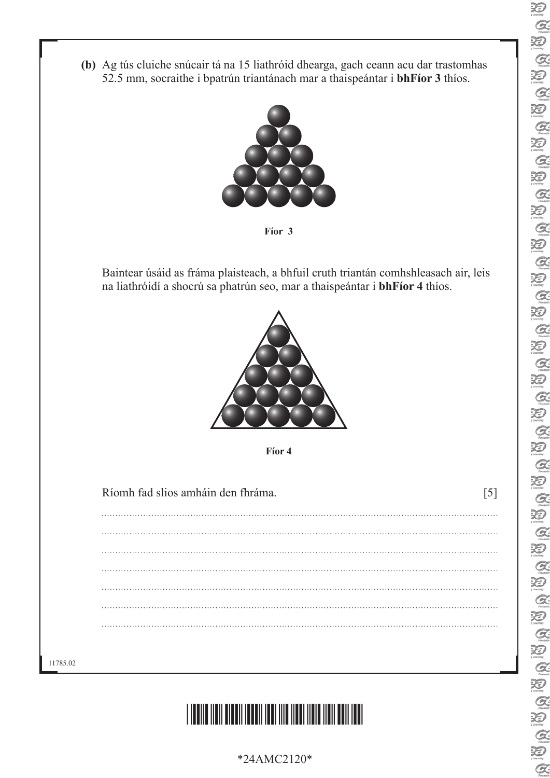- 泪  $Q$  $\sum_{i \text{ learning}}$  $\alpha$ Ð **A** Ð Q. Ð Q. Ð  $\alpha$ Ð  $\alpha$ P)  $Q$ 汩 **a** Q **A** Q **A** Q a Ð **A** Ð **A** XD **R** 汩  $\alpha$ Ð  $\mathcal{Q}$ 泡  $\alpha$ Q  $Q$ 泡  $\alpha$  $\sum_{\text{learning}}$  $Q$ 泪 **R** Ð B.
- **(b)** Ag tús cluiche snúcair tá na 15 liathróid dhearga, gach ceann acu dar trastomhas 52.5 mm, socraithe i bpatrún triantánach mar a thaispeántar i **bhFíor 3** thíos.



**Fíor 3**

Baintear úsáid as fráma plaisteach, a bhfuil cruth triantán comhshleasach air, leis na liathróidí a shocrú sa phatrún seo, mar a thaispeántar i **bhFíor 4** thíos.



**Fíor 4**

Ríomh fad slios amháin den fhráma. [5]

11785.02



\*24AMC2120\*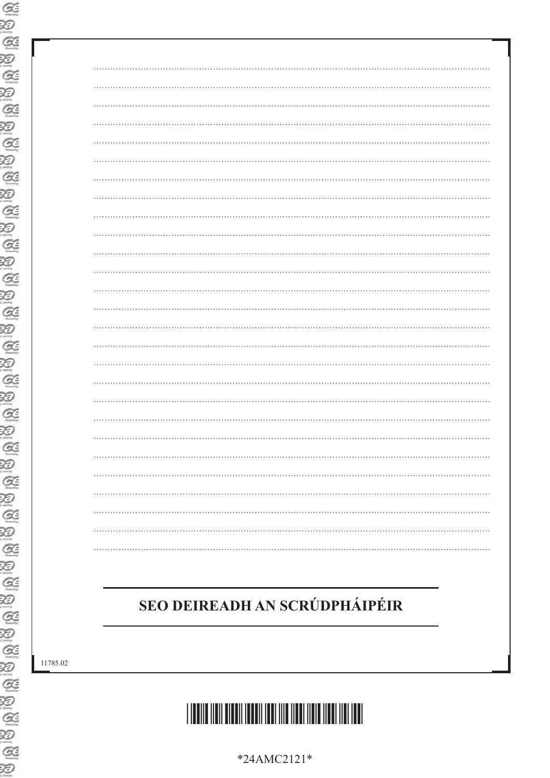| .        |
|----------|
|          |
|          |
| $\cdots$ |
|          |
|          |
| $\cdots$ |
|          |
|          |
|          |
|          |
|          |
|          |
|          |
|          |
|          |
|          |
|          |
| $\cdots$ |
|          |
|          |
|          |
|          |
|          |
|          |
|          |
|          |
|          |

### SEO DEIREADH AN SCRÚDPHÁIPÉIR

11785.02



\*24AMC2121\*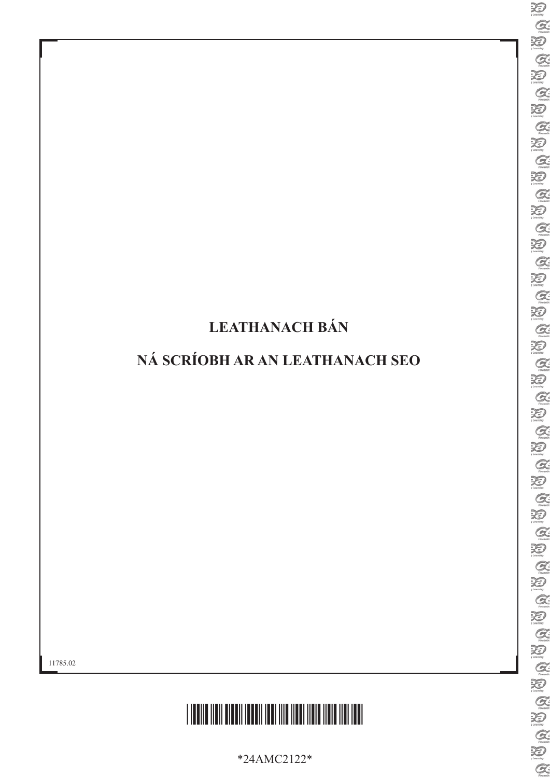### LEATHANACH BÁN

### NÁ SCRÍOBH AR AN LEATHANACH SEO

11785.02



\*24AMC2122\*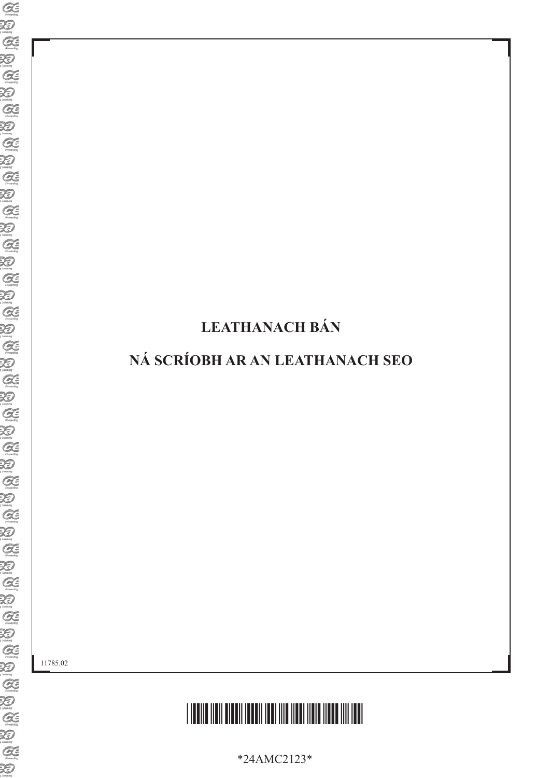### LEATHANACH BÁN

### NÁ SCRÍOBH AR AN LEATHANACH SEO

11785.02



\*24AMC2123\*